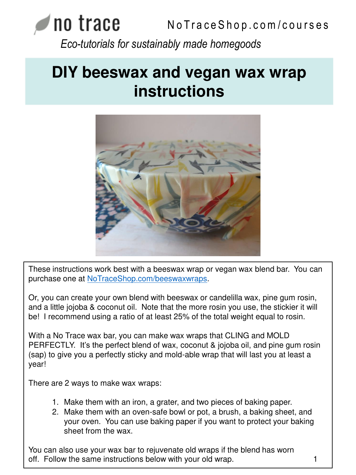# **NO TACE** NoTraceShop.com/courses *Eco-tutorials for sustainably made homegoods*

## **DIY beeswax and vegan wax wrap instructions**



These instructions work best with a beeswax wrap or vegan wax blend bar. You can purchase one at <NoTraceShop.com/beeswaxwraps>.

Or, you can create your own blend with beeswax or candelilla wax, pine gum rosin, and a little jojoba & coconut oil. Note that the more rosin you use, the stickier it will be! I recommend using a ratio of at least 25% of the total weight equal to rosin.

With a No Trace wax bar, you can make wax wraps that CLING and MOLD PERFECTLY. It's the perfect blend of wax, coconut & jojoba oil, and pine gum rosin (sap) to give you a perfectly sticky and mold-able wrap that will last you at least a year!

There are 2 ways to make wax wraps:

- 1. Make them with an iron, a grater, and two pieces of baking paper.
- 2. Make them with an oven-safe bowl or pot, a brush, a baking sheet, and your oven. You can use baking paper if you want to protect your baking sheet from the wax.

You can also use your wax bar to rejuvenate old wraps if the blend has worn off. Follow the same instructions below with your old wrap. The mass of the same in the same in the same in the  $1$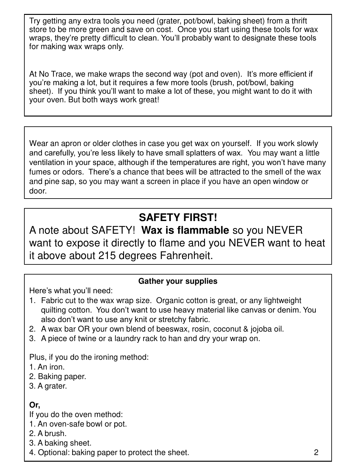Try getting any extra tools you need (grater, pot/bowl, baking sheet) from a thrift store to be more green and save on cost. Once you start using these tools for wax wraps, they're pretty difficult to clean. You'll probably want to designate these tools for making wax wraps only.

At No Trace, we make wraps the second way (pot and oven). It's more efficient if you're making a lot, but it requires a few more tools (brush, pot/bowl, baking sheet). If you think you'll want to make a lot of these, you might want to do it with your oven. But both ways work great!

Wear an apron or older clothes in case you get wax on yourself. If you work slowly and carefully, you're less likely to have small splatters of wax. You may want a little ventilation in your space, although if the temperatures are right, you won't have many fumes or odors. There's a chance that bees will be attracted to the smell of the wax and pine sap, so you may want a screen in place if you have an open window or door.

## **SAFETY FIRST!**

A note about SAFETY! **Wax is flammable** so you NEVER want to expose it directly to flame and you NEVER want to heat it above about 215 degrees Fahrenheit.

#### **Gather your supplies**

Here's what you'll need:

- 1. Fabric cut to the wax wrap size. Organic cotton is great, or any lightweight quilting cotton. You don't want to use heavy material like canvas or denim. You also don't want to use any knit or stretchy fabric.
- 2. A wax bar OR your own blend of beeswax, rosin, coconut & jojoba oil.
- 3. A piece of twine or a laundry rack to han and dry your wrap on.

Plus, if you do the ironing method:

1. An iron.

2. Baking paper.

3. A grater.

## **Or,**

If you do the oven method:

1. An oven-safe bowl or pot.

- 2. A brush.
- 3. A baking sheet.

4. Optional: baking paper to protect the sheet. 2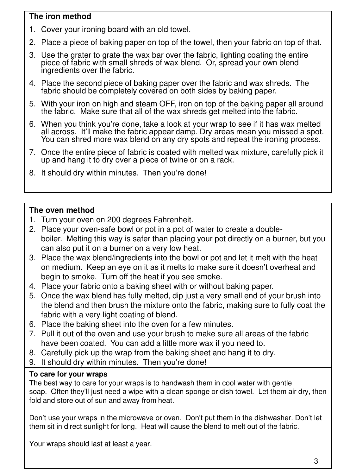#### **The iron method**

- 1. Cover your ironing board with an old towel.
- 2. Place a piece of baking paper on top of the towel, then your fabric on top of that.
- 3. Use the grater to grate the wax bar over the fabric, lighting coating the entire piece of fabric with small shreds of wax blend. Or, spread your own blend ingredients over the fabric.
- 4. Place the second piece of baking paper over the fabric and wax shreds. The fabric should be completely covered on both sides by baking paper.
- 5. With your iron on high and steam OFF, iron on top of the baking paper all around the fabric. Make sure that all of the wax shreds get melted into the fabric.
- 6. When you think you're done, take a look at your wrap to see if it has wax melted all across. It'll make the fabric appear damp. Dry areas mean you missed a spot. You can shred more wax blend on any dry spots and repeat the ironing process.
- 7. Once the entire piece of fabric is coated with melted wax mixture, carefully pick it up and hang it to dry over a piece of twine or on a rack.
- 8. It should dry within minutes. Then you're done!

### **The oven method**

- 1. Turn your oven on 200 degrees Fahrenheit.
- 2. Place your oven-safe bowl or pot in a pot of water to create a doubleboiler. Melting this way is safer than placing your pot directly on a burner, but you can also put it on a burner on a very low heat.
- 3. Place the wax blend/ingredients into the bowl or pot and let it melt with the heat on medium. Keep an eye on it as it melts to make sure it doesn't overheat and begin to smoke. Turn off the heat if you see smoke.
- 4. Place your fabric onto a baking sheet with or without baking paper.
- 5. Once the wax blend has fully melted, dip just a very small end of your brush into the blend and then brush the mixture onto the fabric, making sure to fully coat the fabric with a very light coating of blend.
- 6. Place the baking sheet into the oven for a few minutes.
- 7. Pull it out of the oven and use your brush to make sure all areas of the fabric have been coated. You can add a little more wax if you need to.
- 8. Carefully pick up the wrap from the baking sheet and hang it to dry.
- 9. It should dry within minutes. Then you're done!

#### **To care for your wraps**

The best way to care for your wraps is to handwash them in cool water with gentle soap. Often they'll just need a wipe with a clean sponge or dish towel. Let them air dry, then fold and store out of sun and away from heat.

Don't use your wraps in the microwave or oven. Don't put them in the dishwasher. Don't let them sit in direct sunlight for long. Heat will cause the blend to melt out of the fabric.

Your wraps should last at least a year.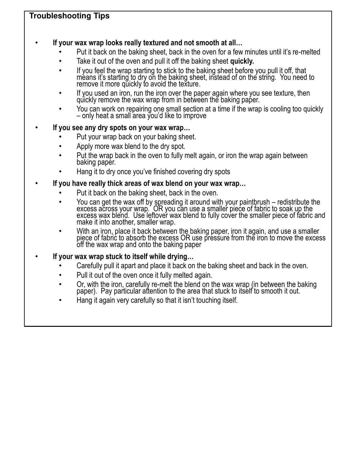#### **Troubleshooting Tips**

#### • **If your wax wrap looks really textured and not smooth at all…**

- Put it back on the baking sheet, back in the oven for a few minutes until it's re-melted
- Take it out of the oven and pull it off the baking sheet **quickly.**
- If you feel the wrap starting to stick to the baking sheet before you pull it off, that means it's starting to dry on the baking sheet, instead of on the string. You need to remove it more quickly to avoid the texture.
- If you used an iron, run the iron over the paper again where you see texture, then quickly remove the wax wrap from in between the baking paper.
- You can work on repairing one small section at a time if the wrap is cooling too quickly – only heat a small area ỹou'd like to improve

#### • **If you see any dry spots on your wax wrap…**

- Put your wrap back on your baking sheet.
- Apply more wax blend to the dry spot.
- Put the wrap back in the oven to fully melt again, or iron the wrap again between baking paper.
- Hang it to dry once you've finished covering dry spots

#### • **If you have really thick areas of wax blend on your wax wrap…**

- Put it back on the baking sheet, back in the oven.
- You can get the wax off by spreading it around with your paintbrush redistribute the excess across your wrap.´ OR you can use a smaller piece of fabric to soak up the excess wax blend. Use leftover wax blend to fully cover the smaller piece of fabric and make it into another, smaller wrap.
- With an iron, place it back between the baking paper, iron it again, and use a smaller piece of fabric to absorb the excess OR use pressure from the iron to move the excess off the wax wrap and onto the baking paper
- **If your wax wrap stuck to itself while drying…**
	- Carefully pull it apart and place it back on the baking sheet and back in the oven.
	- Pull it out of the oven once it fully melted again.
	- Or, with the iron, carefully re-melt the blend on the wax wrap (in between the baking paper). Pay particular attention to the area that stuck to itself to smooth it out.
	- Hang it again very carefully so that it isn't touching itself.